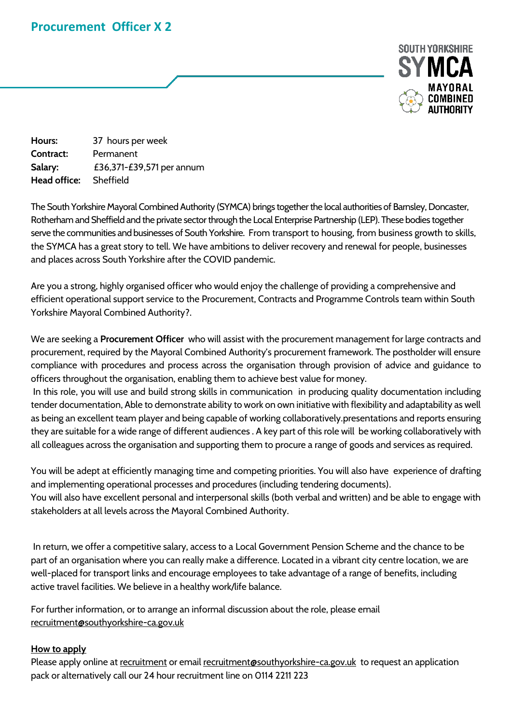## **Procurement Officer X 2**



**Hours:** 37 hours per week **Contract:** Permanent **Salary:** £36,371-£39,571 per annum **Head office:** Sheffield

The South Yorkshire Mayoral Combined Authority (SYMCA) brings together the local authorities of Barnsley, Doncaster, Rotherham and Sheffield and the private sector through the Local Enterprise Partnership (LEP). These bodies together serve the communities and businesses of South Yorkshire. From transport to housing, from business growth to skills, the SYMCA has a great story to tell. We have ambitions to deliver recovery and renewal for people, businesses and places across South Yorkshire after the COVID pandemic.

Are you a strong, highly organised officer who would enjoy the challenge of providing a comprehensive and efficient operational support service to the Procurement, Contracts and Programme Controls team within South Yorkshire Mayoral Combined Authority?.

We are seeking a **Procurement Officer** who will assist with the procurement management for large contracts and procurement, required by the Mayoral Combined Authority's procurement framework. The postholder will ensure compliance with procedures and process across the organisation through provision of advice and guidance to officers throughout the organisation, enabling them to achieve best value for money.

In this role, you will use and build strong skills in communication in producing quality documentation including tender documentation, Able to demonstrate ability to work on own initiative with flexibility and adaptability as well as being an excellent team player and being capable of working collaboratively.presentations and reports ensuring they are suitable for a wide range of different audiences . A key part of this role will be working collaboratively with all colleagues across the organisation and supporting them to procure a range of goods and services as required.

You will be adept at efficiently managing time and competing priorities. You will also have experience of drafting and implementing operational processes and procedures (including tendering documents).

You will also have excellent personal and interpersonal skills (both verbal and written) and be able to engage with stakeholders at all levels across the Mayoral Combined Authority.

In return, we offer a competitive salary, access to a Local Government Pension Scheme and the chance to be part of an organisation where you can really make a difference. Located in a vibrant city centre location, we are well-placed for transport links and encourage employees to take advantage of a range of benefits, including active travel facilities. We believe in a healthy work/life balance.

For further information, or to arrange an informal discussion about the role, please email [recruitment@southyorkshire-ca.gov.uk](mailto:recruitment@southyorkshire-ca.gov.uk) 

## **How to apply**

Please apply online at [recruitment](https://sheffieldcityregion.org.uk/about-us-governance-policy/work-for-us/) or email [recruitment@southyorkshire-ca.gov.uk](mailto:recruitment@southyorkshire-ca.gov.uk) to request an application pack or alternatively call our 24 hour recruitment line on 0114 2211 223